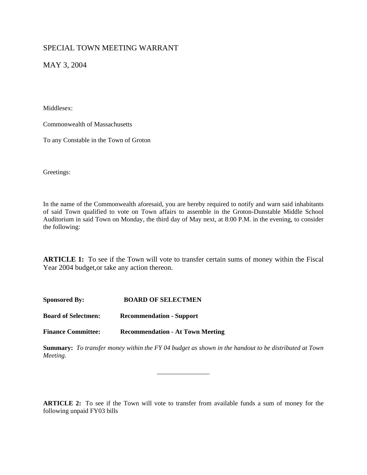## SPECIAL TOWN MEETING WARRANT

MAY 3, 2004

Middlesex:

Commonwealth of Massachusetts

To any Constable in the Town of Groton

Greetings:

In the name of the Commonwealth aforesaid, you are hereby required to notify and warn said inhabitants of said Town qualified to vote on Town affairs to assemble in the Groton-Dunstable Middle School Auditorium in said Town on Monday, the third day of May next, at 8:00 P.M. in the evening, to consider the following:

**ARTICLE 1:** To see if the Town will vote to transfer certain sums of money within the Fiscal Year 2004 budget,or take any action thereon.

**Sponsored By: BOARD OF SELECTMEN Board of Selectmen: Recommendation - Support** 

**Finance Committee: Recommendation - At Town Meeting**

**Summary:** *To transfer money within the FY 04 budget as shown in the handout to be distributed at Town Meeting.*

*\_\_\_\_\_\_\_\_\_\_\_\_\_\_\_\_*

**ARTICLE 2:** To see if the Town will vote to transfer from available funds a sum of money for the following unpaid FY03 bills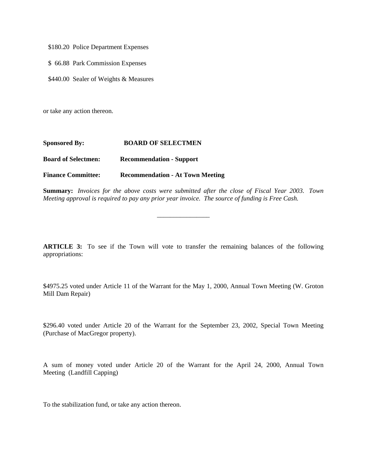\$180.20 Police Department Expenses

\$ 66.88 Park Commission Expenses

\$440.00 Sealer of Weights & Measures

or take any action thereon.

| <b>Sponsored By:</b>       | <b>BOARD OF SELECTMEN</b>               |
|----------------------------|-----------------------------------------|
| <b>Board of Selectmen:</b> | <b>Recommendation - Support</b>         |
| <b>Finance Committee:</b>  | <b>Recommendation - At Town Meeting</b> |

**Summary:** *Invoices for the above costs were submitted after the close of Fiscal Year 2003. Town Meeting approval is required to pay any prior year invoice. The source of funding is Free Cash.*

*\_\_\_\_\_\_\_\_\_\_\_\_\_\_\_\_*

**ARTICLE 3:** To see if the Town will vote to transfer the remaining balances of the following appropriations:

\$4975.25 voted under Article 11 of the Warrant for the May 1, 2000, Annual Town Meeting (W. Groton Mill Dam Repair)

\$296.40 voted under Article 20 of the Warrant for the September 23, 2002, Special Town Meeting (Purchase of MacGregor property).

A sum of money voted under Article 20 of the Warrant for the April 24, 2000, Annual Town Meeting (Landfill Capping)

To the stabilization fund, or take any action thereon.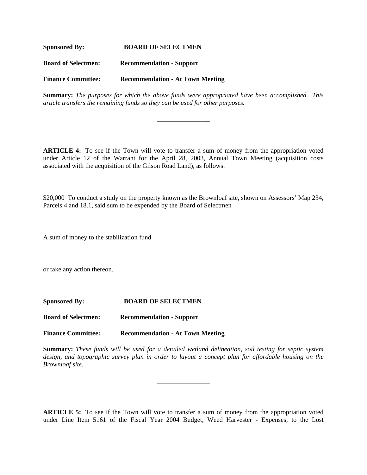**Sponsored By: BOARD OF SELECTMEN Board of Selectmen: Recommendation - Support Finance Committee: Recommendation - At Town Meeting**

**Summary:** *The purposes for which the above funds were appropriated have been accomplished. This article transfers the remaining funds so they can be used for other purposes.*

*\_\_\_\_\_\_\_\_\_\_\_\_\_\_\_\_*

**ARTICLE 4:** To see if the Town will vote to transfer a sum of money from the appropriation voted under Article 12 of the Warrant for the April 28, 2003, Annual Town Meeting (acquisition costs associated with the acquisition of the Gilson Road Land), as follows:

\$20,000 To conduct a study on the property known as the Brownloaf site, shown on Assessors' Map 234, Parcels 4 and 18.1, said sum to be expended by the Board of Selectmen

A sum of money to the stabilization fund

or take any action thereon.

| <b>Sponsored By:</b>       | <b>BOARD OF SELECTMEN</b>               |
|----------------------------|-----------------------------------------|
| <b>Board of Selectmen:</b> | <b>Recommendation - Support</b>         |
| <b>Finance Committee:</b>  | <b>Recommendation - At Town Meeting</b> |

**Summary:** *These funds will be used for a detailed wetland delineation, soil testing for septic system*  design, and topographic survey plan in order to layout a concept plan for affordable housing on the *Brownloaf site.*

*\_\_\_\_\_\_\_\_\_\_\_\_\_\_\_\_*

**ARTICLE 5:** To see if the Town will vote to transfer a sum of money from the appropriation voted under Line Item 5161 of the Fiscal Year 2004 Budget, Weed Harvester - Expenses, to the Lost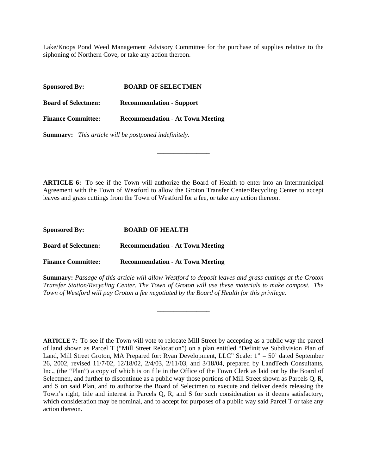Lake/Knops Pond Weed Management Advisory Committee for the purchase of supplies relative to the siphoning of Northern Cove, or take any action thereon.

| <b>Sponsored By:</b>       | <b>BOARD OF SELECTMEN</b>               |
|----------------------------|-----------------------------------------|
| <b>Board of Selectmen:</b> | <b>Recommendation - Support</b>         |
| <b>Finance Committee:</b>  | <b>Recommendation - At Town Meeting</b> |

**Summary:** *This article will be postponed indefinitely.*

**ARTICLE 6:** To see if the Town will authorize the Board of Health to enter into an Intermunicipal Agreement with the Town of Westford to allow the Groton Transfer Center/Recycling Center to accept leaves and grass cuttings from the Town of Westford for a fee, or take any action thereon.

*\_\_\_\_\_\_\_\_\_\_\_\_\_\_\_\_*

**Sponsored By: BOARD OF HEALTH**

**Board of Selectmen: Recommendation - At Town Meeting** 

**Finance Committee: Recommendation - At Town Meeting**

**Summary:** *Passage of this article will allow Westford to deposit leaves and grass cuttings at the Groton Transfer Station/Recycling Center. The Town of Groton will use these materials to make compost. The Town of Westford will pay Groton a fee negotiated by the Board of Health for this privilege.*

*\_\_\_\_\_\_\_\_\_\_\_\_\_\_\_\_*

**ARTICLE 7:** To see if the Town will vote to relocate Mill Street by accepting as a public way the parcel of land shown as Parcel T ("Mill Street Relocation") on a plan entitled "Definitive Subdivision Plan of Land, Mill Street Groton, MA Prepared for: Ryan Development, LLC" Scale: 1" = 50' dated September 26, 2002, revised 11/7/02, 12/18/02, 2/4/03, 2/11/03, and 3/18/04, prepared by LandTech Consultants, Inc., (the "Plan") a copy of which is on file in the Office of the Town Clerk as laid out by the Board of Selectmen, and further to discontinue as a public way those portions of Mill Street shown as Parcels Q, R, and S on said Plan, and to authorize the Board of Selectmen to execute and deliver deeds releasing the Town's right, title and interest in Parcels Q, R, and S for such consideration as it deems satisfactory, which consideration may be nominal, and to accept for purposes of a public way said Parcel T or take any action thereon.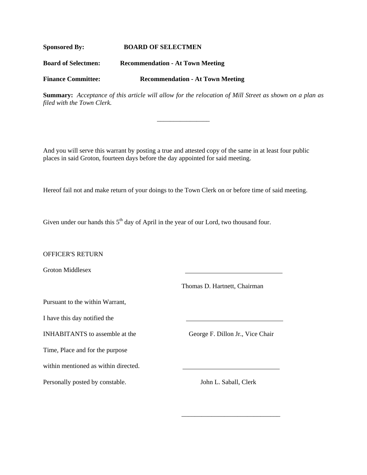## **Sponsored By: BOARD OF SELECTMEN**

**Board of Selectmen: Recommendation - At Town Meeting** 

**Finance Committee: Recommendation - At Town Meeting**

**Summary:** *Acceptance of this article will allow for the relocation of Mill Street as shown on a plan as filed with the Town Clerk.* 

*\_\_\_\_\_\_\_\_\_\_\_\_\_\_\_\_*

And you will serve this warrant by posting a true and attested copy of the same in at least four public places in said Groton, fourteen days before the day appointed for said meeting.

Hereof fail not and make return of your doings to the Town Clerk on or before time of said meeting.

Given under our hands this  $5<sup>th</sup>$  day of April in the year of our Lord, two thousand four.

 $\overline{\phantom{a}}$  , and the contract of the contract of the contract of the contract of the contract of the contract of the contract of the contract of the contract of the contract of the contract of the contract of the contrac

OFFICER'S RETURN

Groton Middlesex

Thomas D. Hartnett, Chairman

Pursuant to the within Warrant,

I have this day notified the

INHABITANTS to assemble at the George F. Dillon Jr., Vice Chair

Time, Place and for the purpose

within mentioned as within directed.

Personally posted by constable. John L. Saball, Clerk